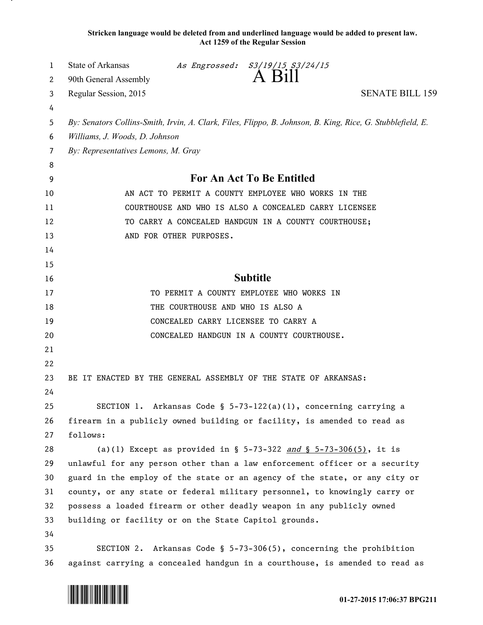**Stricken language would be deleted from and underlined language would be added to present law. Act 1259 of the Regular Session**

| 1        | State of Arkansas<br>As Engrossed: S3/19/15 S3/24/15<br>A Bill                                                                 |
|----------|--------------------------------------------------------------------------------------------------------------------------------|
| 2        | 90th General Assembly                                                                                                          |
| 3        | <b>SENATE BILL 159</b><br>Regular Session, 2015                                                                                |
| 4<br>5   | By: Senators Collins-Smith, Irvin, A. Clark, Files, Flippo, B. Johnson, B. King, Rice, G. Stubblefield, E.                     |
| 6        | Williams, J. Woods, D. Johnson                                                                                                 |
| 7        | By: Representatives Lemons, M. Gray                                                                                            |
| 8        |                                                                                                                                |
| 9        | For An Act To Be Entitled                                                                                                      |
| 10       | AN ACT TO PERMIT A COUNTY EMPLOYEE WHO WORKS IN THE                                                                            |
| 11       | COURTHOUSE AND WHO IS ALSO A CONCEALED CARRY LICENSEE                                                                          |
| 12       | TO CARRY A CONCEALED HANDGUN IN A COUNTY COURTHOUSE;                                                                           |
| 13       | AND FOR OTHER PURPOSES.                                                                                                        |
| 14       |                                                                                                                                |
| 15       |                                                                                                                                |
| 16       | <b>Subtitle</b>                                                                                                                |
| 17       | TO PERMIT A COUNTY EMPLOYEE WHO WORKS IN                                                                                       |
| 18       | THE COURTHOUSE AND WHO IS ALSO A                                                                                               |
| 19       | CONCEALED CARRY LICENSEE TO CARRY A                                                                                            |
| 20       | CONCEALED HANDGUN IN A COUNTY COURTHOUSE.                                                                                      |
| 21       |                                                                                                                                |
| 22       |                                                                                                                                |
| 23       | BE IT ENACTED BY THE GENERAL ASSEMBLY OF THE STATE OF ARKANSAS:                                                                |
| 24       |                                                                                                                                |
| 25       | SECTION 1. Arkansas Code § 5-73-122(a)(1), concerning carrying a                                                               |
| 26       | firearm in a publicly owned building or facility, is amended to read as                                                        |
| 27       | follows:                                                                                                                       |
| 28       | (a)(1) Except as provided in § 5-73-322 and § 5-73-306(5), it is                                                               |
| 29       | unlawful for any person other than a law enforcement officer or a security                                                     |
| 30       | guard in the employ of the state or an agency of the state, or any city or                                                     |
| 31<br>32 | county, or any state or federal military personnel, to knowingly carry or                                                      |
| 33       | possess a loaded firearm or other deadly weapon in any publicly owned<br>building or facility or on the State Capitol grounds. |
| 34       |                                                                                                                                |
| 35       | SECTION 2. Arkansas Code $\S$ 5-73-306(5), concerning the prohibition                                                          |
| 36       | against carrying a concealed handgun in a courthouse, is amended to read as                                                    |



.